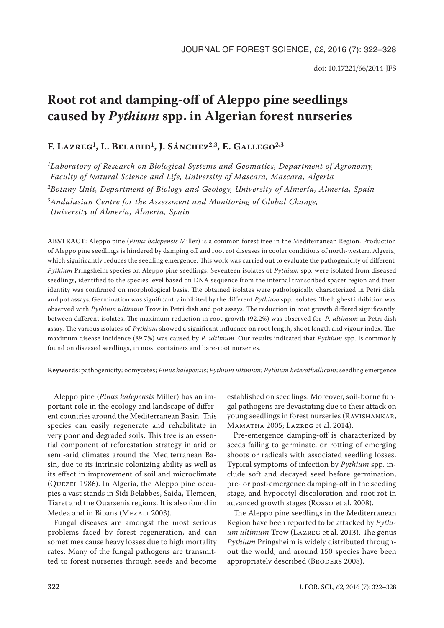# **Root rot and damping-off of Aleppo pine seedlings caused by** *Pythium* **spp. in Algerian forest nurseries**

# **F. LAZREG<sup>1</sup>, L. BELABID<sup>1</sup>, J. SÁNCHEZ<sup>2,3</sup>, E. GALLEGO<sup>2,3</sup>**

*1Laboratory of Research on Biological Systems and Geomatics, Department of Agronomy, Faculty of Natural Science and Life, University of Mascara, Mascara, Algeria 2Botany Unit, Department of Biology and Geology, University of Almería, Almería, Spain 3Andalusian Centre for the Assessment and Monitoring of Global Change, University of Almería, Almería, Spain*

**ABSTRACT**: Aleppo pine (*Pinus halepensis* Miller) is a common forest tree in the Mediterranean Region. Production of Aleppo pine seedlings is hindered by damping off and root rot diseases in cooler conditions of north-western Algeria, which significantly reduces the seedling emergence. This work was carried out to evaluate the pathogenicity of different *Pythium* Pringsheim species on Aleppo pine seedlings. Seventeen isolates of *Pythium* spp. were isolated from diseased seedlings, identified to the species level based on DNA sequence from the internal transcribed spacer region and their identity was confirmed on morphological basis. The obtained isolates were pathologically characterized in Petri dish and pot assays. Germination was significantly inhibited by the different *Pythium* spp. isolates. The highest inhibition was observed with *Pythium ultimum* Trow in Petri dish and pot assays. The reduction in root growth differed significantly between different isolates. The maximum reduction in root growth (92.2%) was observed for *P. ultimum* in Petri dish assay. The various isolates of *Pythium* showed a significant influence on root length, shoot length and vigour index. The maximum disease incidence (89.7%) was caused by *P*. *ultimum*. Our results indicated that *Pythium* spp. is commonly found on diseased seedlings, in most containers and bare-root nurseries.

**Keywords**: pathogenicity; oomycetes; *Pinus halepensis*; *Pythium ultimum*; *Pythium heterothallicum*; seedling emergence

Aleppo pine (*Pinus halepensis* Miller) has an important role in the ecology and landscape of different countries around the Mediterranean Basin. This species can easily regenerate and rehabilitate in very poor and degraded soils. This tree is an essential component of reforestation strategy in arid or semi-arid climates around the Mediterranean Basin, due to its intrinsic colonizing ability as well as its effect in improvement of soil and microclimate (QUEZEL 1986). In Algeria, the Aleppo pine occupies a vast stands in Sidi Belabbes, Saida, Tlemcen, Tiaret and the Ouarsenis regions. It is also found in Medea and in Bibans (MEZALI 2003).

Fungal diseases are amongst the most serious problems faced by forest regeneration, and can sometimes cause heavy losses due to high mortality rates. Many of the fungal pathogens are transmitted to forest nurseries through seeds and become

established on seedlings. Moreover, soil-borne fungal pathogens are devastating due to their attack on young seedlings in forest nurseries (RAVISHANKAR, MAMATHA 2005; LAZREG et al. 2014).

Pre-emergence damping-off is characterized by seeds failing to germinate, or rotting of emerging shoots or radicals with associated seedling losses. Typical symptoms of infection by *Pythium* spp. include soft and decayed seed before germination, pre- or post-emergence damping-off in the seeding stage, and hypocotyl discoloration and root rot in advanced growth stages (Rosso et al. 2008).

The Aleppo pine seedlings in the Mediterranean Region have been reported to be attacked by *Pythium ultimum* Trow (L *Pythium* Pringsheim is widely distributed throughout the world, and around 150 species have been appropriately described (BRODERS 2008).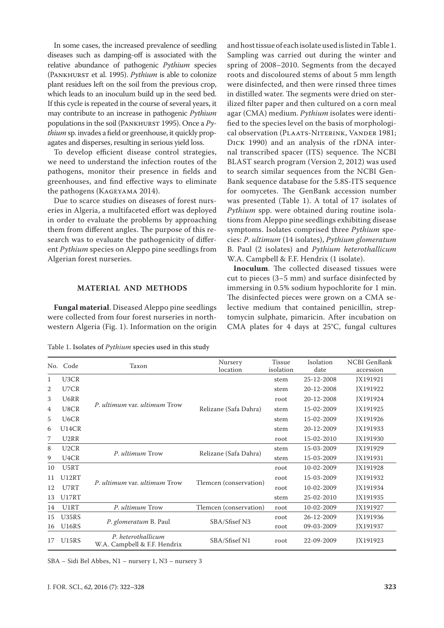In some cases, the increased prevalence of seedling diseases such as damping-off is associated with the relative abundance of pathogenic *Pythium* species (Pankhurst et al. 1995). *Pythium* is able to colonize plant residues left on the soil from the previous crop, which leads to an inoculum build up in the seed bed. If this cycle is repeated in the course of several years, it may contribute to an increase in pathogenic *Pythium* populations in the soil (PANKHURST 1995). Once a *Pγthium* sp. invades a field or greenhouse, it quickly propagates and disperses, resulting in serious yield loss.

To develop efficient disease control strategies, we need to understand the infection routes of the pathogens, monitor their presence in fields and greenhouses, and find effective ways to eliminate the pathogens (Kageyama 2014).

Due to scarce studies on diseases of forest nurseries in Algeria, a multifaceted effort was deployed in order to evaluate the problems by approaching them from different angles. The purpose of this research was to evaluate the pathogenicity of different *Pythium* species on Aleppo pine seedlings from Algerian forest nurseries.

#### **MATERIAL AND METHODS**

**Fungal material**. Diseased Aleppo pine seedlings were collected from four forest nurseries in northwestern Algeria (Fig. 1). Information on the origin

and host tissue of each isolate used is listed in Table 1. Sampling was carried out during the winter and spring of 2008–2010. Segments from the decayed roots and discoloured stems of about 5 mm length were disinfected, and then were rinsed three times in distilled water. The segments were dried on sterilized filter paper and then cultured on a corn meal agar (CMA) medium. *Pythium* isolates were identified to the species level on the basis of morphological observation (PLAATS-NITERINK, VANDER 1981; Dick 1990) and an analysis of the rDNA internal transcribed spacer (ITS) sequence. The NCBI BLAST search program (Version 2, 2012) was used to search similar sequences from the NCBI Gen-Bank sequence database for the 5.8S-ITS sequence for oomycetes. The GenBank accession number was presented (Table 1). A total of 17 isolates of *Pythium* spp. were obtained during routine isolations from Aleppo pine seedlings exhibiting disease symptoms. Isolates comprised three *Pythium* species: *P*. *ultimum* (14 isolates), *Pythium glomeratum* B. Paul (2 isolates) and *Pythium heterothallicum* W.A. Campbell & F.F. Hendrix (1 isolate).

**Inoculum**. The collected diseased tissues were cut to pieces (3–5 mm) and surface disinfected by immersing in 0.5% sodium hypochlorite for 1 min. The disinfected pieces were grown on a CMA selective medium that contained penicillin, streptomycin sulphate, pimaricin. After incubation on CMA plates for 4 days at 25°C, fungal cultures

Table 1. Isolates of *Pythium* species used in this study

| N <sub>0</sub> . | Code                          | Taxon                                              | Nursery<br>location    | <b>Tissue</b><br>isolation | Isolation<br>date | NCBI GenBank<br>accession |
|------------------|-------------------------------|----------------------------------------------------|------------------------|----------------------------|-------------------|---------------------------|
| 1                | U3CR                          | P. ultimum var. ultimum Trow                       | Relizane (Safa Dahra)  | stem                       | 25-12-2008        | JX191921                  |
| 2                | U7CR                          |                                                    |                        | stem                       | 20-12-2008        | JX191922                  |
| 3                | U6RR                          |                                                    |                        | root                       | 20-12-2008        | JX191924                  |
| 4                | U8CR                          |                                                    |                        | stem                       | 15-02-2009        | JX191925                  |
| 5                | U <sub>6</sub> CR             |                                                    |                        | stem                       | 15-02-2009        | JX191926                  |
| 6                | U14CR                         |                                                    |                        | stem                       | 20-12-2009        | JX191933                  |
| 7                | U <sub>2</sub> R <sub>R</sub> |                                                    |                        | root                       | 15-02-2010        | JX191930                  |
| 8                | U <sub>2</sub> CR             | P. ultimum Trow                                    | Relizane (Safa Dahra)  | stem                       | 15-03-2009        | JX191929                  |
| 9                | U4CR                          |                                                    |                        | stem                       | 15-03-2009        | JX191931                  |
| 10               | U5RT                          |                                                    |                        | root                       | 10-02-2009        | JX191928                  |
| 11               | <b>U12RT</b>                  | P. ultimum var. ultimum Trow                       | Tlemcen (conservation) | root                       | 15-03-2009        | JX191932                  |
| 12               | U7RT                          |                                                    |                        | root                       | 10-02-2009        | JX191934                  |
| 13               | U17RT                         |                                                    |                        | stem                       | 25-02-2010        | JX191935                  |
| 14               | U1RT                          | P. ultimum Trow                                    | Tlemcen (conservation) | root                       | 10-02-2009        | JX191927                  |
| 15               | U35RS                         |                                                    | SBA/Sfisef N3          | root                       | 26-12-2009        | JX191936                  |
| 16               | <b>U16RS</b>                  | P. glomeratum B. Paul                              |                        | root                       | 09-03-2009        | JX191937                  |
| 17               | U15RS                         | P. heterothallicum<br>W.A. Campbell & F.F. Hendrix | SBA/Sfisef N1          | root                       | 22-09-2009        | JX191923                  |

SBA – Sidi Bel Abbes, N1 – nursery 1, N3 – nursery 3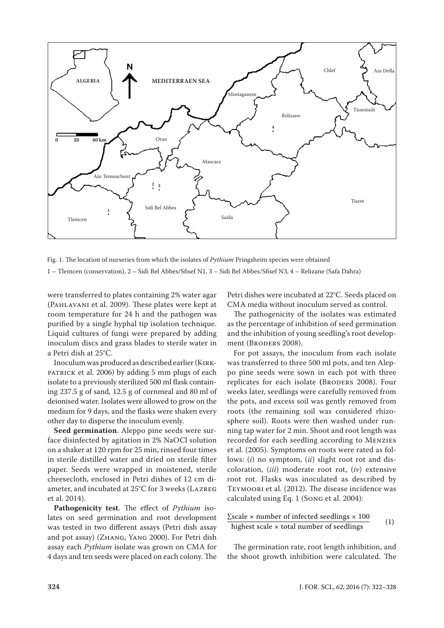

Fig. 1. The location of nurseries from which the isolates of *Pythium* Pringsheim species were obtained 1 – Tlemcen (conservation), 2 – Sidi Bel Abbes/Sfisef N1, 3 – Sidi Bel Abbes/Sfisef N3, 4 – Relizane (Safa Dahra)

were transferred to plates containing 2% water agar (Pahlavani et al. 2009). These plates were kept at room temperature for 24 h and the pathogen was purified by a single hyphal tip isolation technique. Liquid cultures of fungi were prepared by adding inoculum discs and grass blades to sterile water in a Petri dish at 25°C.

Inoculum was produced as described earlier (Kirkpatrick et al. 2006) by adding 5 mm plugs of each isolate to a previously sterilized 500 ml flask containing 237.5 g of sand, 12.5 g of cornmeal and 80 ml of deionised water. Isolates were allowed to grow on the medium for 9 days, and the flasks were shaken every other day to disperse the inoculum evenly.

**Seed germination**. Aleppo pine seeds were surface disinfected by agitation in 2% NaOCl solution on a shaker at 120 rpm for 25 min, rinsed four times in sterile distilled water and dried on sterile filter paper. Seeds were wrapped in moistened, sterile cheesecloth, enclosed in Petri dishes of 12 cm diameter, and incubated at 25°C for 3 weeks (Lazreg et al. 2014).

**Pathogenicity test**. The effect of *Pythium* isolates on seed germination and root development was tested in two different assays (Petri dish assay and pot assay) (Zhang, Yang 2000). For Petri dish assay each *Pythium* isolate was grown on CMA for 4 days and ten seeds were placed on each colony. The

Petri dishes were incubated at 22°C. Seeds placed on CMA media without inoculum served as control.

The pathogenicity of the isolates was estimated as the percentage of inhibition of seed germination and the inhibition of young seedling's root development (BRODERS 2008).

For pot assays, the inoculum from each isolate was transferred to three 500 ml pots, and ten Aleppo pine seeds were sown in each pot with three replicates for each isolate (BRODERS 2008). Four weeks later, seedlings were carefully removed from the pots, and excess soil was gently removed from roots (the remaining soil was considered rhizosphere soil). Roots were then washed under running tap water for 2 min. Shoot and root length was recorded for each seedling according to Menzies et al. (2005). Symptoms on roots were rated as follows: (*i*) no symptom, (*ii*) slight root rot and discoloration, (*iii*) moderate root rot, (*iv*) extensive root rot. Flasks was inoculated as described by Teymoori et al. (2012). The disease incidence was calculated using Eq. 1 (Song et al. 2004):

## $\Sigma$ scale × number of infected seedlings × 100 highest scale  $\times$  total number of seedlings (1)

The germination rate, root length inhibition, and the shoot growth inhibition were calculated. The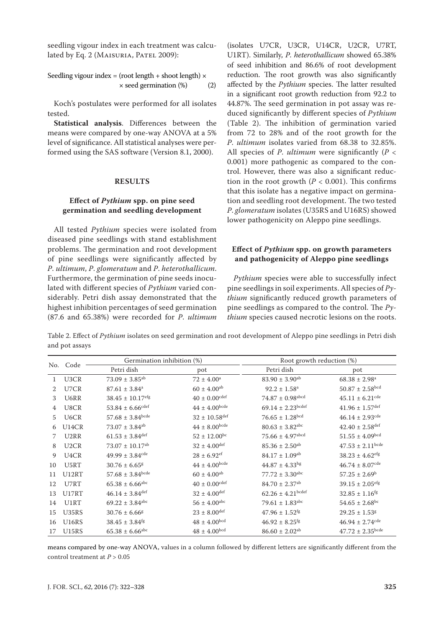seedling vigour index in each treatment was calculated by Eq. 2 (MAISURIA, PATEL 2009):

Seedling vigour index = (root length + shoot length)  $\times$  $\times$  seed germination (%) (2)

Koch's postulates were performed for all isolates tested.

**Statistical analysis**. Differences between the means were compared by one-way ANOVA at a 5% level of significance. All statistical analyses were performed using the SAS software (Version 8.1, 2000).

#### **RESULTS**

## **Effect of** *Pythium* **spp. on pine seed germination and seedling development**

All tested *Pythium* species were isolated from diseased pine seedlings with stand establishment problems. The germination and root development of pine seedlings were significantly affected by *P*. *ultimum*, *P*. *glomeratum* and *P*. *heterothallicum*. Furthermore, the germination of pine seeds inoculated with different species of *Pythium* varied considerably. Petri dish assay demonstrated that the highest inhibition percentages of seed germination (87.6 and 65.38%) were recorded for *P*. *ultimum*

(isolates U7CR, U3CR, U14CR, U2CR, U7RT, U1RT). Similarly, *P*. *heterothallicum* showed 65.38% of seed inhibition and 86.6% of root development reduction. The root growth was also significantly affected by the *Pythium* species. The latter resulted in a significant root growth reduction from 92.2 to 44.87%. The seed germination in pot assay was reduced significantly by different species of *Pythium*  (Table 2). The inhibition of germination varied from 72 to 28% and of the root growth for the *P*. *ultimum* isolates varied from 68.38 to 32.85%. All species of *P*. *ultimum* were significantly (*P* < 0.001) more pathogenic as compared to the control. However, there was also a significant reduction in the root growth  $(P < 0.001)$ . This confirms that this isolate has a negative impact on germination and seedling root development. The two tested *P*. *glomeratum* isolates (U35RS and U16RS) showed lower pathogenicity on Aleppo pine seedlings.

#### **Effect of** *Pythium* **spp. on growth parameters and pathogenicity of Aleppo pine seedlings**

*Pythium* species were able to successfully infect pine seedlings in soil experiments. All species of *Pythium* significantly reduced growth parameters of pine seedlings as compared to the control. The *Pythium* species caused necrotic lesions on the roots.

Table 2. Effect of *Pythium* isolates on seed germination and root development of Aleppo pine seedlings in Petri dish and pot assays

| No. Code |                               | Germination inhibition (%)       |                               |                                 | Root growth reduction (%)       |  |
|----------|-------------------------------|----------------------------------|-------------------------------|---------------------------------|---------------------------------|--|
|          |                               | Petri dish                       | pot                           | Petri dish                      | pot                             |  |
| 1        | U3CR                          | $73.09 \pm 3.85$ <sup>ab</sup>   | $72 \pm 4.00^a$               | $83.90 \pm 3.90$ <sup>ab</sup>  | $68.38 \pm 2.98^a$              |  |
| 2        | U7CR                          | $87.61 \pm 3.84$ <sup>a</sup>    | $60 \pm 4.00^{ab}$            | $92.2 \pm 1.58$ <sup>a</sup>    | $50.87 \pm 2.58$ bcd            |  |
| 3        | U6RR                          | $38.45 \pm 10.17^{\rm efg}$      | $40 \pm 0.00^{\text{cdef}}$   | $74.87 \pm 0.98$ abcd           | $45.11 \pm 6.21^{\rm cde}$      |  |
| 4        | U8CR                          | $53.84 \pm 6.66$ <sup>cdef</sup> | $44 \pm 4.00^{bcde}$          | $69.14 \pm 2.23$ bcdef          | $41.96 \pm 1.57$ <sup>def</sup> |  |
| 5        | U6CR                          | $57.68 \pm 3.84$ <sub>bcde</sub> | $32 \pm 10.58$ <sup>def</sup> | $76.65 \pm 1.28$ bcd            | $46.14 \pm 2.93$ <sup>cde</sup> |  |
| 6        | U14CR                         | $73.07 \pm 3.84^{ab}$            | $44 \pm 8.00^{bcde}$          | $80.63 \pm 3.82$ <sup>abc</sup> | $42.40 \pm 2.58$ <sup>def</sup> |  |
| 7        | U <sub>2</sub> R <sub>R</sub> | $61.53 \pm 3.84$ <sup>def</sup>  | $52 \pm 12.00$ <sup>bc</sup>  | $75.66 \pm 4.97$ abcd           | $51.55 \pm 4.09^{\text{bcd}}$   |  |
| 8        | U2CR                          | $73.07 \pm 10.17$ <sup>ab</sup>  | $32 \pm 4.00^{\text{def}}$    | $85.36 \pm 2.50$ <sup>ab</sup>  | $47.53 \pm 2.11$ bcde           |  |
| 9        | U4CR                          | $49.99 \pm 3.84$ <sup>cde</sup>  | $28 \pm 6.92$ <sup>ef</sup>   | $84.17 \pm 1.09^{ab}$           | $38.23 \pm 4.62$ <sup>efg</sup> |  |
| 10       | U5RT                          | $30.76 \pm 6.65$ <sup>g</sup>    | $44 \pm 4.00^{bcde}$          | $44.87 \pm 4.33^{\text{hg}}$    | $46.74 \pm 8.07^{\rm cde}$      |  |
| 11       | U12RT                         | $57.68 \pm 3.84$ <sub>bcde</sub> | $60 \pm 4.00^{ab}$            | $77.72 \pm 3.30^{\rm abc}$      | $57.25 \pm 2.69^{\rm b}$        |  |
| 12       | U7RT                          | $65.38 \pm 6.66$ <sup>abc</sup>  | $40 \pm 0.00$ <sup>cdef</sup> | $84.70 \pm 2.37$ <sup>ab</sup>  | $39.15 \pm 2.05^{\rm efg}$      |  |
| 13       | U17RT                         | $46.14 \pm 3.84$ <sup>def</sup>  | $32 \pm 4.00^{\text{def}}$    | $62.26 \pm 4.21$ bcdef          | $32.85 \pm 1.16$ <sup>fg</sup>  |  |
| 14       | U1RT                          | $69.22 \pm 3.84$ <sup>abc</sup>  | $56 \pm 4.00^{\rm abc}$       | $79.61 \pm 1.83$ <sup>abc</sup> | $54.65 \pm 2.68$ <sup>bc</sup>  |  |
| 15       | U35RS                         | $30.76 \pm 6.66$ <sup>g</sup>    | $23 \pm 8.00^{\text{def}}$    | $47.96 \pm 1.52$ <sup>fg</sup>  | $29.25 \pm 1.53$ <sup>g</sup>   |  |
| 16       | <b>U16RS</b>                  | $38.45 \pm 3.84$ <sup>fg</sup>   | $48 \pm 4.00^{bcd}$           | $46.92 \pm 8.25$ <sup>fg</sup>  | $46.94 \pm 2.74^{\rm cde}$      |  |
| 17       | U15RS                         | $65.38 \pm 6.66$ <sup>abc</sup>  | $48 \pm 4.00^{bcd}$           | $86.60 \pm 2.02$ <sup>ab</sup>  | $47.72 \pm 2.35$ bcde           |  |

means compared by one-way ANOVA, values in a column followed by different letters are significantly different from the control treatment at *P* > 0.05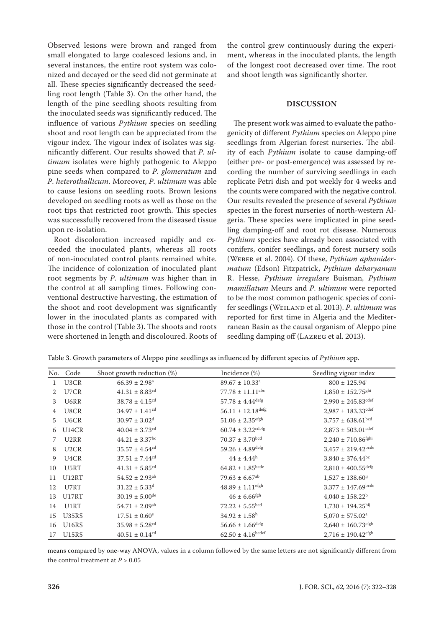Observed lesions were brown and ranged from small elongated to large coalesced lesions and, in several instances, the entire root system was colonized and decayed or the seed did not germinate at all. These species significantly decreased the seedling root length (Table 3). On the other hand, the length of the pine seedling shoots resulting from the inoculated seeds was significantly reduced. The influence of various *Pythium* species on seedling shoot and root length can be appreciated from the vigour index. The vigour index of isolates was significantly different. Our results showed that *P*. *ultimum* isolates were highly pathogenic to Aleppo pine seeds when compared to *P*. *glomeratum* and *P*. *heterothallicum*. Moreover, *P*. *ultimum* was able to cause lesions on seedling roots. Brown lesions developed on seedling roots as well as those on the root tips that restricted root growth. This species was successfully recovered from the diseased tissue upon re-isolation.

Root discoloration increased rapidly and exceeded the inoculated plants, whereas all roots of non-inoculated control plants remained white. The incidence of colonization of inoculated plant root segments by *P*. *ultimum* was higher than in the control at all sampling times. Following conventional destructive harvesting, the estimation of the shoot and root development was significantly lower in the inoculated plants as compared with those in the control (Table 3). The shoots and roots were shortened in length and discoloured. Roots of the control grew continuously during the experiment, whereas in the inoculated plants, the length of the longest root decreased over time. The root and shoot length was significantly shorter.

#### **DISCUSSION**

The present work was aimed to evaluate the pathogenicity of different *Pythium* species on Aleppo pine seedlings from Algerian forest nurseries. The ability of each *Pythium* isolate to cause damping-off (either pre- or post-emergence) was assessed by recording the number of surviving seedlings in each replicate Petri dish and pot weekly for 4 weeks and the counts were compared with the negative control. Our results revealed the presence of several *Pythium*  species in the forest nurseries of north-western Algeria. These species were implicated in pine seedling damping-off and root rot disease. Numerous *Pythium* species have already been associated with conifers, conifer seedlings, and forest nursery soils (Weber et al. 2004). Of these, *Pythium aphanidermatum* (Edson) Fitzpatrick, *Pythium debaryanum* R. Hesse, *Pythium irregulare* Buisman, *Pythium mamillatum* Meurs and *P*. *ultimum* were reported to be the most common pathogenic species of conifer seedlings (Weiland et al. 2013). *P*. *ultimum* was reported for first time in Algeria and the Mediterranean Basin as the causal organism of Aleppo pine seedling damping off (Lazreg et al. 2013).

|    | No. Code                      | Shoot growth reduction (%)     | Incidence (%)                     | Seedling vigour index              |
|----|-------------------------------|--------------------------------|-----------------------------------|------------------------------------|
| 1  | U3CR                          | $66.39 \pm 2.98$ <sup>a</sup>  | $89.67 \pm 10.33$ <sup>a</sup>    | $800 \pm 125.94^{\circ}$           |
| 2  | U7CR                          | $41.31 \pm 8.83$ <sup>cd</sup> | $77.78 \pm 11.11$ <sup>abc</sup>  | $1,850 \pm 152.75^{\rm ghi}$       |
| 3  | U6RR                          | $38.78 \pm 4.15$ <sup>cd</sup> | $57.78 \pm 4.44^{\text{defg}}$    | $2,990 \pm 245.83^{\text{cdef}}$   |
| 4  | U8CR                          | $34.97 \pm 1.41$ <sup>cd</sup> | $56.11 \pm 12.18$ <sup>defg</sup> | $2,987 \pm 183.33$ <sup>cdef</sup> |
| 5  | U6CR                          | $30.97 \pm 3.02$ <sup>d</sup>  | $51.06 \pm 2.35^{\rm efgh}$       | $3,757 \pm 638.61^{bcd}$           |
| 6  | U14CR                         | $40.04 \pm 3.73$ <sup>cd</sup> | $60.74 \pm 3.22$ <sup>cdefg</sup> | $2,873 \pm 503.01^{\text{cdef}}$   |
|    | U <sub>2</sub> R <sub>R</sub> | $44.21 \pm 3.37$ <sup>bc</sup> | $70.37\pm3.70^{\text{bcd}}$       | $2,240 \pm 710.86^{\rm fghi}$      |
| 8  | U <sub>2</sub> CR             | $35.57\pm4.54^{\rm cd}$        | $59.26 \pm 4.89$ defg             | $3,457 \pm 219.42^{\text{bcde}}$   |
| 9  | U4CR                          | $37.51\pm7.44^{\text{cd}}$     | $44 \pm 4.44^{\rm h}$             | $3,840 \pm 376.44$ bc              |
| 10 | U5RT                          | $41.31 \pm 5.85$ <sup>cd</sup> | $64.82 \pm 1.85^{\rm bede}$       | $2,810 \pm 400.55^{\rm defg}$      |
| 11 | U12RT                         | $54.52 \pm 2.93$ <sup>ab</sup> | $79.63 \pm 6.67$ <sup>ab</sup>    | $1,527 \pm 138.60^{ij}$            |
| 12 | U7RT                          | $31.22 \pm 5.33$ <sup>d</sup>  | $48.89 \pm 1.11$ <sup>efgh</sup>  | $3,377 \pm 147.69$ bcde            |
| 13 | U17RT                         | $30.19 \pm 5.00^{\text{de}}$   | $46 \pm 6.66$ <sup>fgh</sup>      | $4,040 \pm 158.22^b$               |
| 14 | U1RT                          | $54.71 \pm 2.09$ <sup>ab</sup> | $72.22 \pm 5.55^{\text{bcd}}$     | $1,730 \pm 194.25^{\text{hij}}$    |
| 15 | U35RS                         | $17.51 \pm 0.60^{\circ}$       | $34.92 \pm 1.58$ <sup>h</sup>     | $5,070 \pm 575.02^{\text{a}}$      |
| 16 | U16RS                         | $35.98 \pm 5.28$ <sup>cd</sup> | $56.66 \pm 1.66$ <sup>defg</sup>  | $2,640 \pm 160.73^{\rm efgh}$      |
| 17 | U15RS                         | $40.51 \pm 0.14$ <sup>cd</sup> | $62.50 \pm 4.16^{\text{bcdef}}$   | $2,716 \pm 190.42^{\rm efgh}$      |

Table 3. Growth parameters of Aleppo pine seedlings as influenced by different species of *Pythium* spp.

means compared by one-way ANOVA, values in a column followed by the same letters are not significantly different from the control treatment at  $P > 0.05$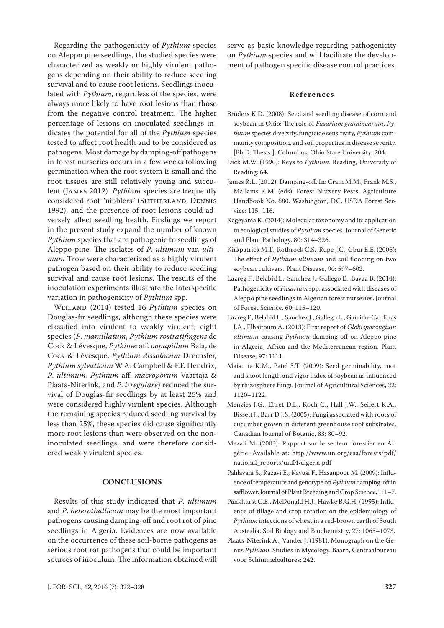Regarding the pathogenicity of *Pythium* species on Aleppo pine seedlings, the studied species were characterized as weakly or highly virulent pathogens depending on their ability to reduce seedling survival and to cause root lesions. Seedlings inoculated with *Pythium*, regardless of the species, were always more likely to have root lesions than those from the negative control treatment. The higher percentage of lesions on inoculated seedlings indicates the potential for all of the *Pythium* species tested to affect root health and to be considered as pathogens. Most damage by damping-off pathogens in forest nurseries occurs in a few weeks following germination when the root system is small and the root tissues are still relatively young and succulent (James 2012). *Pythium* species are frequently considered root "nibblers" (SUTHERLAND, DENNIS 1992), and the presence of root lesions could adversely affect seedling health. Findings we report in the present study expand the number of known *Pythium* species that are pathogenic to seedlings of Aleppo pine. The isolates of *P*. *ultimum* var. *ultimum* Trow were characterized as a highly virulent pathogen based on their ability to reduce seedling survival and cause root lesions. The results of the inoculation experiments illustrate the interspecific variation in pathogenicity of *Pythium* spp.

Weiland (2014) tested 16 *Pythium* species on Douglas-fir seedlings, although these species were classified into virulent to weakly virulent; eight species (*P*. *mamillatum*, *Pythium rostratifingens* de Cock & Lévesque, *Pythium* aff. *oopapillum* Bala, de Cock & Lévesque, *Pythium dissotocum* Drechsler, *Pythium sylvaticum* W.A. Campbell & F.F. Hendrix, *P*. *ultimum*, *Pythium* aff. *macroporum* Vaartaja & Plaats-Niterink, and *P*. *irregulare*) reduced the survival of Douglas-fir seedlings by at least 25% and were considered highly virulent species. Although the remaining species reduced seedling survival by less than 25%, these species did cause significantly more root lesions than were observed on the noninoculated seedlings, and were therefore considered weakly virulent species.

#### **CONCLUSIONS**

Results of this study indicated that *P*. *ultimum*  and *P*. *heterothallicum* may be the most important pathogens causing damping-off and root rot of pine seedlings in Algeria. Evidences are now available on the occurrence of these soil-borne pathogens as serious root rot pathogens that could be important sources of inoculum. The information obtained will serve as basic knowledge regarding pathogenicity on *Pythium* species and will facilitate the development of pathogen specific disease control practices.

#### **References**

- Broders K.D. (2008): Seed and seedling disease of corn and soybean in Ohio: The role of *Fusarium graminearum*, *Pythium* species diversity, fungicide sensitivity, *Pythium* community composition, and soil properties in disease severity. [Ph.D. Thesis.]. Columbus, Ohio State University: 204.
- Dick M.W. (1990): Keys to *Pythium*. Reading, University of Reading: 64.
- James R.L. (2012): Damping-off. In: Cram M.M., Frank M.S., Mallams K.M. (eds): Forest Nursery Pests. Agriculture Handbook No. 680. Washington, DC, USDA Forest Service: 115–116.
- Kageyama K. (2014): Molecular taxonomy and its application to ecological studies of *Pythium* species. Journal of Genetic and Plant Pathology, 80: 314–326.
- Kirkpatrick M.T., Rothrock C.S., Rupe J.C., Gbur E.E. (2006): The effect of *Pythium ultimum* and soil flooding on two soybean cultivars. Plant Disease, 90: 597–602.
- Lazreg F., Belabid L., Sanchez J., Gallego E., Bayaa B. (2014): Pathogenicity of *Fusarium* spp. associated with diseases of Aleppo pine seedlings in Algerian forest nurseries. Journal of Forest Science, 60: 115–120.
- Lazreg F., Belabid L., Sanchez J., Gallego E., Garrido-Cardinas J.A., Elhaitoum A. (2013): First report of *Globisporangium ultimum* causing *Pythium* damping-off on Aleppo pine in Algeria, Africa and the Mediterranean region. Plant Disease, 97: 1111.
- Maisuria K.M., Patel S.T. (2009): Seed germinability, root and shoot length and vigor index of soybean as influenced by rhizosphere fungi. Journal of Agricultural Sciences, 22: 1120–1122.
- Menzies J.G., Ehret D.L., Koch C., Hall J.W., Seifert K.A., Bissett J., Barr D.J.S. (2005): Fungi associated with roots of cucumber grown in different greenhouse root substrates. Canadian Journal of Botanic, 83: 80–92.
- Mezali M. (2003): Rapport sur le secteur forestier en Algérie. Available at: http://www.un.org/esa/forests/pdf/ national\_reports/unff4/algeria.pdf
- Pahlavani S., Razavi E., Kavusi F., Hasanpoor M. (2009): Influence of temperature and genotype on *Pythium* damping-off in safflower. Journal of Plant Breeding and Crop Science, 1: 1–7.
- Pankhurst C.E., McDonald H.J., Hawke B.G.H. (1995): Influence of tillage and crop rotation on the epidemiology of *Pythium* infections of wheat in a red-brown earth of South Australia. Soil Biology and Biochemistry, 27: 1065–1073.
- Plaats-Niterink A., Vander J. (1981): Monograph on the Genus *Pythium*. Studies in Mycology. Baarn, Centraalbureau voor Schimmelcultures: 242.